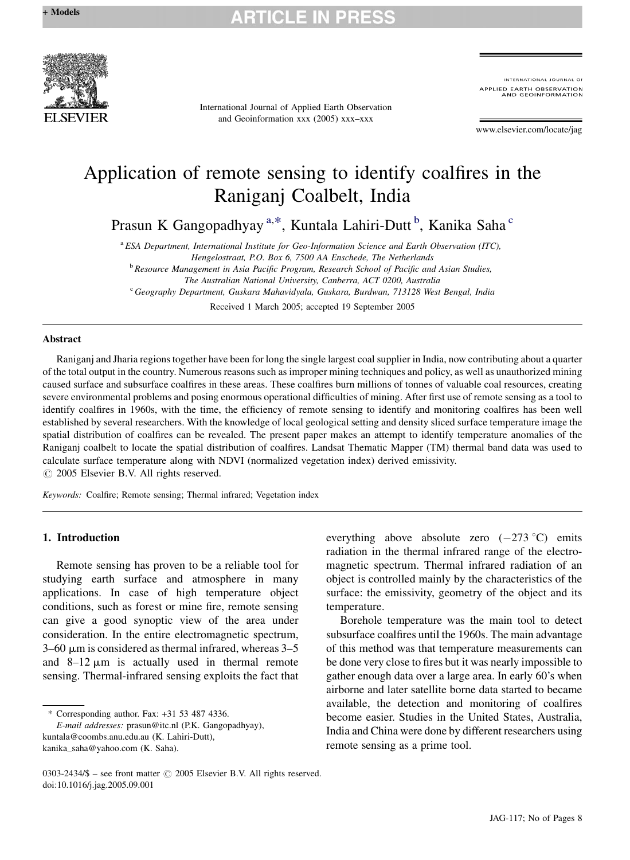## **RTICLE IN PR**



International Journal of Applied Earth Observation and Geoinformation xxx (2005) xxx–xxx

INTERNATIONAL JOURNAL OF PPLIED EARTH OBSERVATION<br>AND GEOINFORMATION

www.elsevier.com/locate/jag

# Application of remote sensing to identify coalfires in the Raniganj Coalbelt, India

Prasun K Gangopadhyay<sup>a,\*</sup>, Kuntala Lahiri-Dutt<sup>b</sup>, Kanika Saha<sup>c</sup>

<sup>a</sup> ESA Department, International Institute for Geo-Information Science and Earth Observation (ITC), Hengelostraat, P.O. Box 6, 7500 AA Enschede, The Netherlands <sup>b</sup> Resource Management in Asia Pacific Program, Research School of Pacific and Asian Studies,

The Australian National University, Canberra, ACT 0200, Australia

<sup>c</sup> Geography Department, Guskara Mahavidyala, Guskara, Burdwan, 713128 West Bengal, India

Received 1 March 2005; accepted 19 September 2005

#### Abstract

Raniganj and Jharia regions together have been for long the single largest coal supplier in India, now contributing about a quarter of the total output in the country. Numerous reasons such as improper mining techniques and policy, as well as unauthorized mining caused surface and subsurface coalfires in these areas. These coalfires burn millions of tonnes of valuable coal resources, creating severe environmental problems and posing enormous operational difficulties of mining. After first use of remote sensing as a tool to identify coalfires in 1960s, with the time, the efficiency of remote sensing to identify and monitoring coalfires has been well established by several researchers. With the knowledge of local geological setting and density sliced surface temperature image the spatial distribution of coalfires can be revealed. The present paper makes an attempt to identify temperature anomalies of the Raniganj coalbelt to locate the spatial distribution of coalfires. Landsat Thematic Mapper (TM) thermal band data was used to calculate surface temperature along with NDVI (normalized vegetation index) derived emissivity.  $\odot$  2005 Elsevier B.V. All rights reserved.

Keywords: Coalfire; Remote sensing; Thermal infrared; Vegetation index

### 1. Introduction

Remote sensing has proven to be a reliable tool for studying earth surface and atmosphere in many applications. In case of high temperature object conditions, such as forest or mine fire, remote sensing can give a good synoptic view of the area under consideration. In the entire electromagnetic spectrum,  $3-60$  µm is considered as thermal infrared, whereas  $3-5$ and  $8-12 \mu m$  is actually used in thermal remote sensing. Thermal-infrared sensing exploits the fact that

\* Corresponding author. Fax: +31 53 487 4336.

E-mail addresses: prasun@itc.nl (P.K. Gangopadhyay), kuntala@coombs.anu.edu.au (K. Lahiri-Dutt), kanika\_saha@yahoo.com (K. Saha).

everything above absolute zero  $(-273 \degree C)$  emits radiation in the thermal infrared range of the electromagnetic spectrum. Thermal infrared radiation of an object is controlled mainly by the characteristics of the surface: the emissivity, geometry of the object and its temperature.

Borehole temperature was the main tool to detect subsurface coalfires until the 1960s. The main advantage of this method was that temperature measurements can be done very close to fires but it was nearly impossible to gather enough data over a large area. In early 60's when airborne and later satellite borne data started to became available, the detection and monitoring of coalfires become easier. Studies in the United States, Australia, India and China were done by different researchers using remote sensing as a prime tool.

<sup>0303-2434/\$ –</sup> see front matter  $\odot$  2005 Elsevier B.V. All rights reserved. doi:10.1016/j.jag.2005.09.001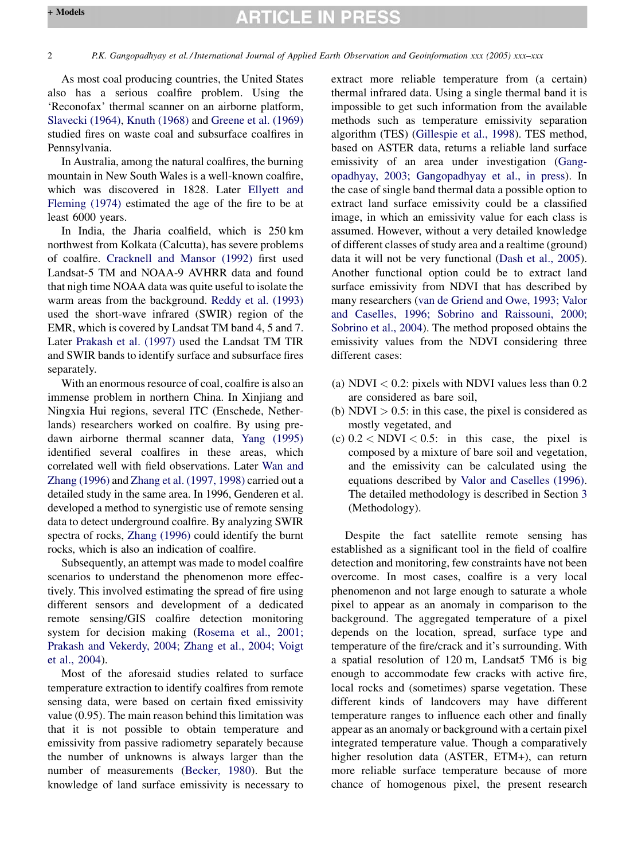## **ARTICLE IN PRESS**

As most coal producing countries, the United States also has a serious coalfire problem. Using the 'Reconofax' thermal scanner on an airborne platform, [Slavecki \(1964\)](#page-7-0), [Knuth \(1968\)](#page-6-0) and [Greene et al. \(1969\)](#page-6-0) studied fires on waste coal and subsurface coalfires in Pennsylvania.

In Australia, among the natural coalfires, the burning mountain in New South Wales is a well-known coalfire, which was discovered in 1828. Later [Ellyett and](#page-6-0) [Fleming \(1974\)](#page-6-0) estimated the age of the fire to be at least 6000 years.

In India, the Jharia coalfield, which is 250 km northwest from Kolkata (Calcutta), has severe problems of coalfire. [Cracknell and Mansor \(1992\)](#page-6-0) first used Landsat-5 TM and NOAA-9 AVHRR data and found that nigh time NOAA data was quite useful to isolate the warm areas from the background. [Reddy et al. \(1993\)](#page-7-0) used the short-wave infrared (SWIR) region of the EMR, which is covered by Landsat TM band 4, 5 and 7. Later [Prakash et al. \(1997\)](#page-7-0) used the Landsat TM TIR and SWIR bands to identify surface and subsurface fires separately.

With an enormous resource of coal, coalfire is also an immense problem in northern China. In Xinjiang and Ningxia Hui regions, several ITC (Enschede, Netherlands) researchers worked on coalfire. By using predawn airborne thermal scanner data, [Yang \(1995\)](#page-7-0) identified several coalfires in these areas, which correlated well with field observations. Later [Wan and](#page-7-0) [Zhang \(1996\)](#page-7-0) and [Zhang et al. \(1997, 1998\)](#page-7-0) carried out a detailed study in the same area. In 1996, Genderen et al. developed a method to synergistic use of remote sensing data to detect underground coalfire. By analyzing SWIR spectra of rocks, [Zhang \(1996\)](#page-7-0) could identify the burnt rocks, which is also an indication of coalfire.

Subsequently, an attempt was made to model coalfire scenarios to understand the phenomenon more effectively. This involved estimating the spread of fire using different sensors and development of a dedicated remote sensing/GIS coalfire detection monitoring system for decision making [\(Rosema et al., 2001;](#page-7-0) [Prakash and Vekerdy, 2004; Zhang et al., 2004; Voigt](#page-7-0) [et al., 2004](#page-7-0)).

Most of the aforesaid studies related to surface temperature extraction to identify coalfires from remote sensing data, were based on certain fixed emissivity value (0.95). The main reason behind this limitation was that it is not possible to obtain temperature and emissivity from passive radiometry separately because the number of unknowns is always larger than the number of measurements ([Becker, 1980\)](#page-6-0). But the knowledge of land surface emissivity is necessary to

extract more reliable temperature from (a certain) thermal infrared data. Using a single thermal band it is impossible to get such information from the available methods such as temperature emissivity separation algorithm (TES) [\(Gillespie et al., 1998\)](#page-6-0). TES method, based on ASTER data, returns a reliable land surface emissivity of an area under investigation [\(Gang](#page-6-0)[opadhyay, 2003; Gangopadhyay et al., in press](#page-6-0)). In the case of single band thermal data a possible option to extract land surface emissivity could be a classified image, in which an emissivity value for each class is assumed. However, without a very detailed knowledge of different classes of study area and a realtime (ground) data it will not be very functional [\(Dash et al., 2005\)](#page-6-0). Another functional option could be to extract land surface emissivity from NDVI that has described by many researchers [\(van de Griend and Owe, 1993; Valor](#page-7-0) [and Caselles, 1996; Sobrino and Raissouni, 2000;](#page-7-0) [Sobrino et al., 2004](#page-7-0)). The method proposed obtains the emissivity values from the NDVI considering three different cases:

- (a) NDVI  $< 0.2$ : pixels with NDVI values less than  $0.2$ are considered as bare soil,
- (b)  $NDVI > 0.5$ : in this case, the pixel is considered as mostly vegetated, and
- (c)  $0.2 < NDVI < 0.5$ : in this case, the pixel is composed by a mixture of bare soil and vegetation, and the emissivity can be calculated using the equations described by [Valor and Caselles \(1996\).](#page-7-0) The detailed methodology is described in Section [3](#page-2-0) (Methodology).

Despite the fact satellite remote sensing has established as a significant tool in the field of coalfire detection and monitoring, few constraints have not been overcome. In most cases, coalfire is a very local phenomenon and not large enough to saturate a whole pixel to appear as an anomaly in comparison to the background. The aggregated temperature of a pixel depends on the location, spread, surface type and temperature of the fire/crack and it's surrounding. With a spatial resolution of 120 m, Landsat5 TM6 is big enough to accommodate few cracks with active fire, local rocks and (sometimes) sparse vegetation. These different kinds of landcovers may have different temperature ranges to influence each other and finally appear as an anomaly or background with a certain pixel integrated temperature value. Though a comparatively higher resolution data (ASTER, ETM+), can return more reliable surface temperature because of more chance of homogenous pixel, the present research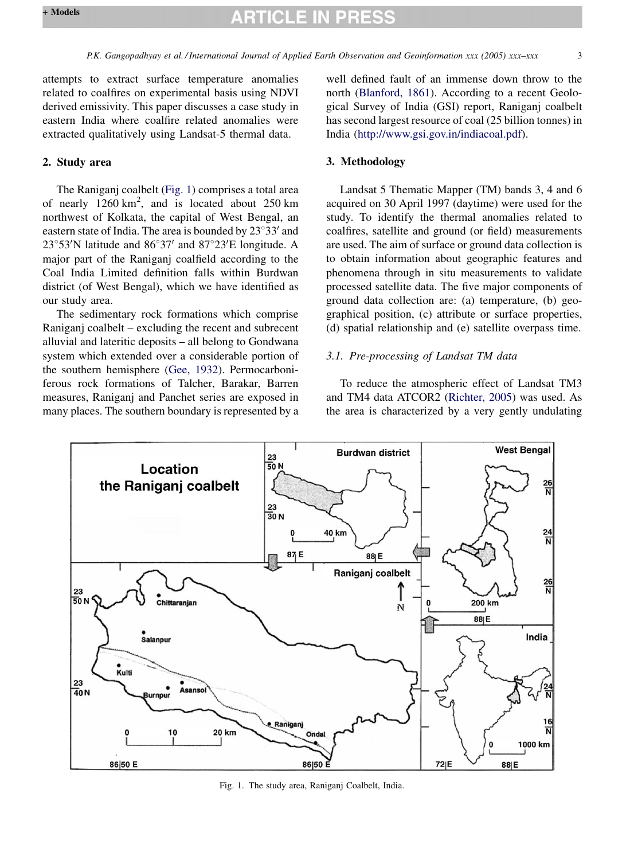<span id="page-2-0"></span>attempts to extract surface temperature anomalies related to coalfires on experimental basis using NDVI derived emissivity. This paper discusses a case study in eastern India where coalfire related anomalies were extracted qualitatively using Landsat-5 thermal data.

### 2. Study area

The Raniganj coalbelt (Fig. 1) comprises a total area of nearly  $1260 \text{ km}^2$ , and is located about  $250 \text{ km}$ northwest of Kolkata, the capital of West Bengal, an eastern state of India. The area is bounded by  $23^{\circ}33'$  and  $23^{\circ}53'$ N latitude and  $86^{\circ}37'$  and  $87^{\circ}23'E$  longitude. A major part of the Raniganj coalfield according to the Coal India Limited definition falls within Burdwan district (of West Bengal), which we have identified as our study area.

The sedimentary rock formations which comprise Raniganj coalbelt – excluding the recent and subrecent alluvial and lateritic deposits – all belong to Gondwana system which extended over a considerable portion of the southern hemisphere ([Gee, 1932\)](#page-6-0). Permocarboniferous rock formations of Talcher, Barakar, Barren measures, Raniganj and Panchet series are exposed in many places. The southern boundary is represented by a well defined fault of an immense down throw to the north [\(Blanford, 1861\)](#page-6-0). According to a recent Geological Survey of India (GSI) report, Raniganj coalbelt has second largest resource of coal (25 billion tonnes) in India [\(http://www.gsi.gov.in/indiacoal.pdf\)](http://www.gsi.gov.in/indiacoal.pdf).

### 3. Methodology

Landsat 5 Thematic Mapper (TM) bands 3, 4 and 6 acquired on 30 April 1997 (daytime) were used for the study. To identify the thermal anomalies related to coalfires, satellite and ground (or field) measurements are used. The aim of surface or ground data collection is to obtain information about geographic features and phenomena through in situ measurements to validate processed satellite data. The five major components of ground data collection are: (a) temperature, (b) geographical position, (c) attribute or surface properties, (d) spatial relationship and (e) satellite overpass time.

### 3.1. Pre-processing of Landsat TM data

To reduce the atmospheric effect of Landsat TM3 and TM4 data ATCOR2 [\(Richter, 2005](#page-7-0)) was used. As the area is characterized by a very gently undulating



Fig. 1. The study area, Raniganj Coalbelt, India.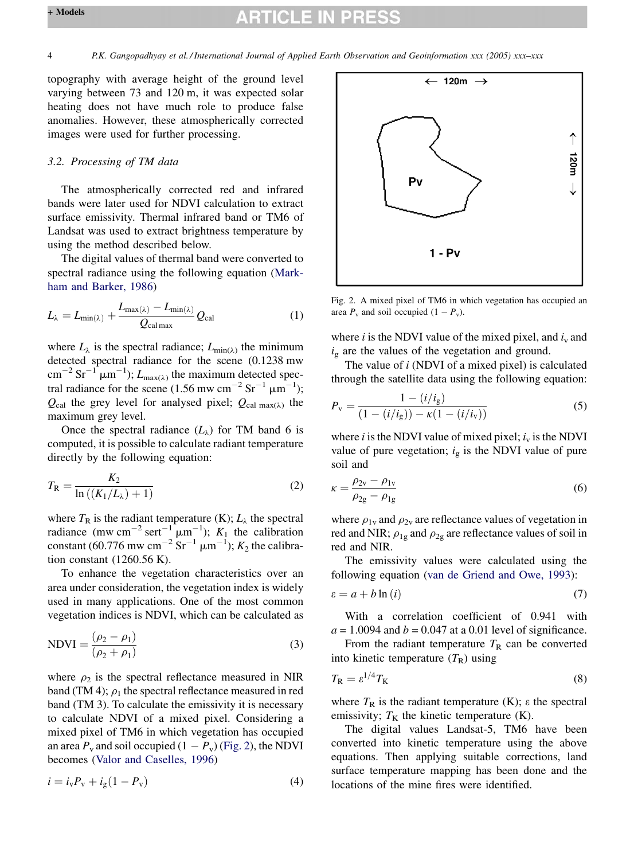## **RTICLE IN**

topography with average height of the ground level varying between 73 and 120 m, it was expected solar heating does not have much role to produce false anomalies. However, these atmospherically corrected images were used for further processing.

#### 3.2. Processing of TM data

The atmospherically corrected red and infrared bands were later used for NDVI calculation to extract surface emissivity. Thermal infrared band or TM6 of Landsat was used to extract brightness temperature by using the method described below.

The digital values of thermal band were converted to spectral radiance using the following equation [\(Mark](#page-6-0)[ham and Barker, 1986](#page-6-0))

$$
L_{\lambda} = L_{\min(\lambda)} + \frac{L_{\max(\lambda)} - L_{\min(\lambda)}}{Q_{\text{cal max}}} Q_{\text{cal}} \tag{1}
$$

where  $L_{\lambda}$  is the spectral radiance;  $L_{\min(\lambda)}$  the minimum detected spectral radiance for the scene (0.1238 mw  $\text{cm}^{-2} \text{ Sr}^{-1} \text{ }\mu\text{m}^{-1}$ );  $L_{\text{max}(\lambda)}$  the maximum detected spectral radiance for the scene (1.56 mw cm<sup>-2</sup> Sr<sup>-1</sup>  $\mu$ m<sup>-1</sup>);  $Q_{\text{cal}}$  the grey level for analysed pixel;  $Q_{\text{cal}}$  max( $\lambda$ ) the maximum grey level.

Once the spectral radiance  $(L_{\lambda})$  for TM band 6 is computed, it is possible to calculate radiant temperature directly by the following equation:

$$
T_{\rm R} = \frac{K_2}{\ln\left(\left(K_1/L_\lambda\right) + 1\right)}\tag{2}
$$

where  $T_R$  is the radiant temperature (K);  $L_\lambda$  the spectral radiance (mw cm<sup>-2</sup> sert<sup>-1</sup>  $\mu$ m<sup>-1</sup>);  $K_1$  the calibration constant (60.776 mw cm<sup>-2</sup> Sr<sup>-1</sup>  $\mu$ m<sup>-1</sup>);  $K_2$  the calibration constant (1260.56 K).

To enhance the vegetation characteristics over an area under consideration, the vegetation index is widely used in many applications. One of the most common vegetation indices is NDVI, which can be calculated as

$$
NDVI = \frac{(\rho_2 - \rho_1)}{(\rho_2 + \rho_1)}
$$
\n(3)

where  $\rho_2$  is the spectral reflectance measured in NIR band (TM 4);  $\rho_1$  the spectral reflectance measured in red band (TM 3). To calculate the emissivity it is necessary to calculate NDVI of a mixed pixel. Considering a mixed pixel of TM6 in which vegetation has occupied an area  $P_v$  and soil occupied  $(1 - P_v)$  (Fig. 2), the NDVI becomes ([Valor and Caselles, 1996\)](#page-7-0)

$$
i = i_{v} P_{v} + i_{g} (1 - P_{v})
$$
\n(4)



Fig. 2. A mixed pixel of TM6 in which vegetation has occupied an area  $P_v$  and soil occupied  $(1 - P_v)$ .

where  $i$  is the NDVI value of the mixed pixel, and  $i_{v}$  and  $i_g$  are the values of the vegetation and ground.

The value of i (NDVI of a mixed pixel) is calculated through the satellite data using the following equation:

$$
P_{\rm v} = \frac{1 - (i/i_{\rm g})}{(1 - (i/i_{\rm g})) - \kappa(1 - (i/i_{\rm v}))}
$$
(5)

where i is the NDVI value of mixed pixel;  $i_v$  is the NDVI value of pure vegetation;  $i_g$  is the NDVI value of pure soil and

$$
\kappa = \frac{\rho_{2v} - \rho_{1v}}{\rho_{2g} - \rho_{1g}}
$$
(6)

where  $\rho_{1v}$  and  $\rho_{2v}$  are reflectance values of vegetation in red and NIR;  $\rho_{1g}$  and  $\rho_{2g}$  are reflectance values of soil in red and NIR.

The emissivity values were calculated using the following equation [\(van de Griend and Owe, 1993](#page-7-0)):

$$
\varepsilon = a + b \ln(i) \tag{7}
$$

With a correlation coefficient of 0.941 with  $a = 1.0094$  and  $b = 0.047$  at a 0.01 level of significance.

From the radiant temperature  $T_R$  can be converted into kinetic temperature  $(T_R)$  using

$$
T_{\rm R} = \varepsilon^{1/4} T_{\rm K} \tag{8}
$$

where  $T_R$  is the radiant temperature (K);  $\varepsilon$  the spectral emissivity;  $T_K$  the kinetic temperature (K).

The digital values Landsat-5, TM6 have been converted into kinetic temperature using the above equations. Then applying suitable corrections, land surface temperature mapping has been done and the locations of the mine fires were identified.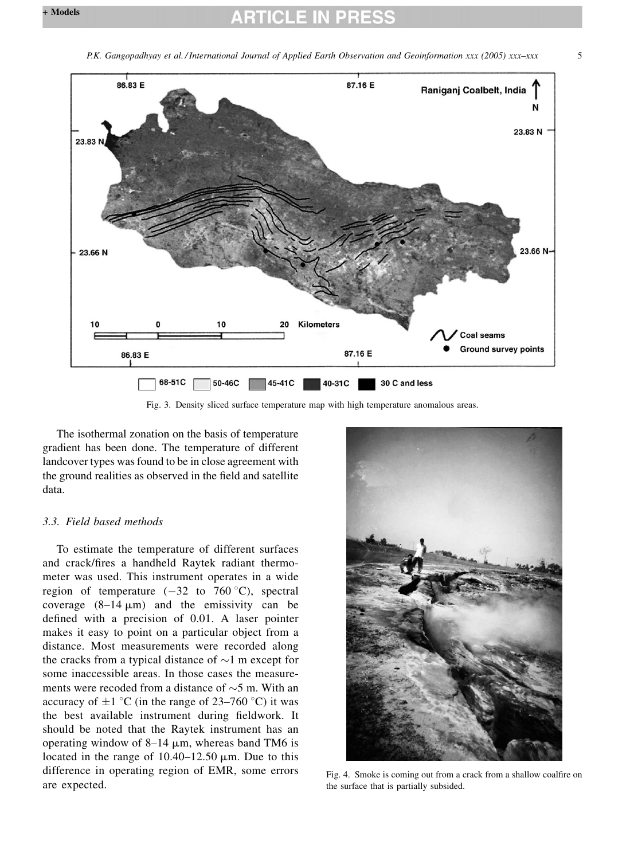<span id="page-4-0"></span>



The isothermal zonation on the basis of temperature gradient has been done. The temperature of different landcover types was found to be in close agreement with the ground realities as observed in the field and satellite data.

## 3.3. Field based methods

To estimate the temperature of different surfaces and crack/fires a handheld Raytek radiant thermometer was used. This instrument operates in a wide region of temperature  $(-32 \text{ to } 760 \degree \text{C})$ , spectral coverage  $(8-14 \mu m)$  and the emissivity can be defined with a precision of 0.01. A laser pointer makes it easy to point on a particular object from a distance. Most measurements were recorded along the cracks from a typical distance of  $\sim$ 1 m except for some inaccessible areas. In those cases the measurements were recoded from a distance of  $\sim$ 5 m. With an accuracy of  $\pm 1$  °C (in the range of 23–760 °C) it was the best available instrument during fieldwork. It should be noted that the Raytek instrument has an operating window of  $8-14 \mu m$ , whereas band TM6 is located in the range of  $10.40-12.50 \mu m$ . Due to this difference in operating region of EMR, some errors are expected.



Fig. 4. Smoke is coming out from a crack from a shallow coalfire on the surface that is partially subsided.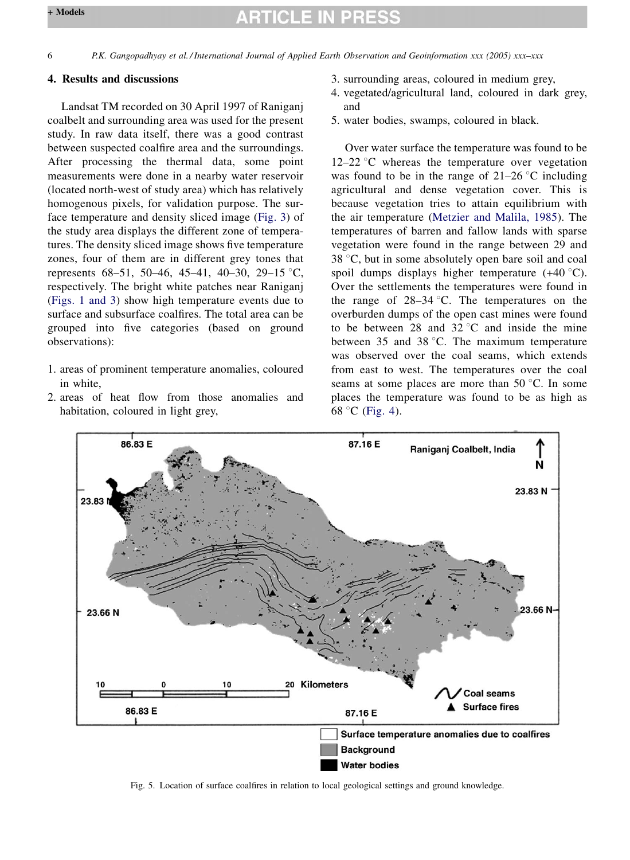## **ARTICLE IN PRES**

#### <span id="page-5-0"></span>4. Results and discussions

Landsat TM recorded on 30 April 1997 of Raniganj coalbelt and surrounding area was used for the present study. In raw data itself, there was a good contrast between suspected coalfire area and the surroundings. After processing the thermal data, some point measurements were done in a nearby water reservoir (located north-west of study area) which has relatively homogenous pixels, for validation purpose. The surface temperature and density sliced image ([Fig. 3](#page-4-0)) of the study area displays the different zone of temperatures. The density sliced image shows five temperature zones, four of them are in different grey tones that represents  $68-51$ ,  $50-46$ ,  $45-41$ ,  $40-30$ ,  $29-15$  °C, respectively. The bright white patches near Raniganj ([Figs. 1 and 3](#page-2-0)) show high temperature events due to surface and subsurface coalfires. The total area can be grouped into five categories (based on ground observations):

- 1. areas of prominent temperature anomalies, coloured in white
- 2. areas of heat flow from those anomalies and habitation, coloured in light grey,
- 3. surrounding areas, coloured in medium grey,
- 4. vegetated/agricultural land, coloured in dark grey, and
- 5. water bodies, swamps, coloured in black.

Over water surface the temperature was found to be  $12-22$  °C whereas the temperature over vegetation was found to be in the range of  $21-26$  °C including agricultural and dense vegetation cover. This is because vegetation tries to attain equilibrium with the air temperature ([Metzier and Malila, 1985\)](#page-6-0). The temperatures of barren and fallow lands with sparse vegetation were found in the range between 29 and  $38 °C$ , but in some absolutely open bare soil and coal spoil dumps displays higher temperature  $(+40\degree C)$ . Over the settlements the temperatures were found in the range of  $28-34$  °C. The temperatures on the overburden dumps of the open cast mines were found to be between 28 and 32  $\degree$ C and inside the mine between 35 and 38  $^{\circ}$ C. The maximum temperature was observed over the coal seams, which extends from east to west. The temperatures over the coal seams at some places are more than  $50^{\circ}$ C. In some places the temperature was found to be as high as 68 °C ([Fig. 4](#page-4-0)).



Fig. 5. Location of surface coalfires in relation to local geological settings and ground knowledge.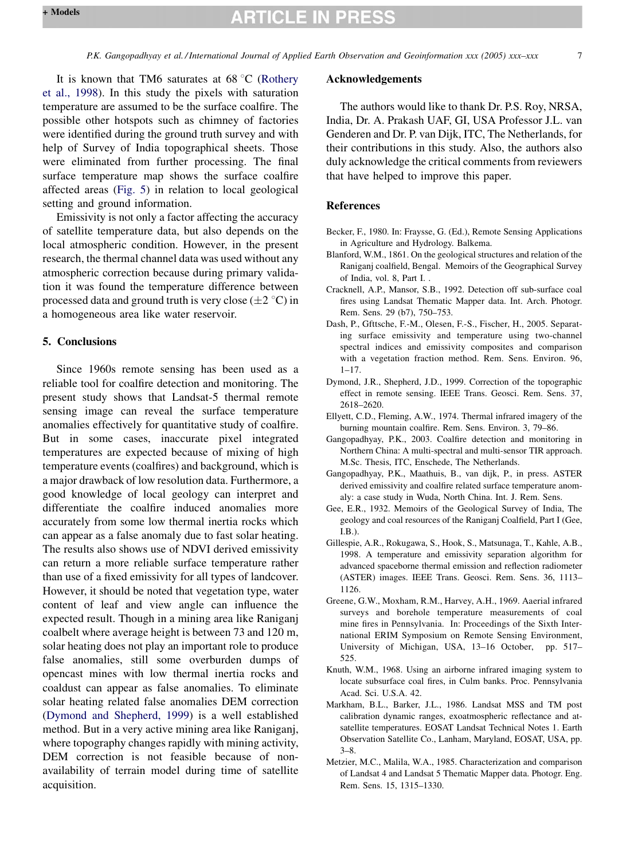<span id="page-6-0"></span>It is known that TM6 saturates at  $68^{\circ}$ C ([Rothery](#page-7-0) [et al., 1998\)](#page-7-0). In this study the pixels with saturation temperature are assumed to be the surface coalfire. The possible other hotspots such as chimney of factories were identified during the ground truth survey and with help of Survey of India topographical sheets. Those were eliminated from further processing. The final surface temperature map shows the surface coalfire affected areas [\(Fig. 5](#page-5-0)) in relation to local geological setting and ground information.

Emissivity is not only a factor affecting the accuracy of satellite temperature data, but also depends on the local atmospheric condition. However, in the present research, the thermal channel data was used without any atmospheric correction because during primary validation it was found the temperature difference between processed data and ground truth is very close  $(\pm 2^{\circ}C)$  in a homogeneous area like water reservoir.

### 5. Conclusions

Since 1960s remote sensing has been used as a reliable tool for coalfire detection and monitoring. The present study shows that Landsat-5 thermal remote sensing image can reveal the surface temperature anomalies effectively for quantitative study of coalfire. But in some cases, inaccurate pixel integrated temperatures are expected because of mixing of high temperature events (coalfires) and background, which is a major drawback of low resolution data. Furthermore, a good knowledge of local geology can interpret and differentiate the coalfire induced anomalies more accurately from some low thermal inertia rocks which can appear as a false anomaly due to fast solar heating. The results also shows use of NDVI derived emissivity can return a more reliable surface temperature rather than use of a fixed emissivity for all types of landcover. However, it should be noted that vegetation type, water content of leaf and view angle can influence the expected result. Though in a mining area like Raniganj coalbelt where average height is between 73 and 120 m, solar heating does not play an important role to produce false anomalies, still some overburden dumps of opencast mines with low thermal inertia rocks and coaldust can appear as false anomalies. To eliminate solar heating related false anomalies DEM correction (Dymond and Shepherd, 1999) is a well established method. But in a very active mining area like Raniganj, where topography changes rapidly with mining activity, DEM correction is not feasible because of nonavailability of terrain model during time of satellite acquisition.

#### Acknowledgements

The authors would like to thank Dr. P.S. Roy, NRSA, India, Dr. A. Prakash UAF, GI, USA Professor J.L. van Genderen and Dr. P. van Dijk, ITC, The Netherlands, for their contributions in this study. Also, the authors also duly acknowledge the critical comments from reviewers that have helped to improve this paper.

#### References

- Becker, F., 1980. In: Fraysse, G. (Ed.), Remote Sensing Applications in Agriculture and Hydrology. Balkema.
- Blanford, W.M., 1861. On the geological structures and relation of the Raniganj coalfield, Bengal. Memoirs of the Geographical Survey of India, vol. 8, Part I. .
- Cracknell, A.P., Mansor, S.B., 1992. Detection off sub-surface coal fires using Landsat Thematic Mapper data. Int. Arch. Photogr. Rem. Sens. 29 (b7), 750–753.
- Dash, P., Gfttsche, F.-M., Olesen, F.-S., Fischer, H., 2005. Separating surface emissivity and temperature using two-channel spectral indices and emissivity composites and comparison with a vegetation fraction method. Rem. Sens. Environ. 96,  $1 - 17$ .
- Dymond, J.R., Shepherd, J.D., 1999. Correction of the topographic effect in remote sensing. IEEE Trans. Geosci. Rem. Sens. 37, 2618–2620.
- Ellyett, C.D., Fleming, A.W., 1974. Thermal infrared imagery of the burning mountain coalfire. Rem. Sens. Environ. 3, 79–86.
- Gangopadhyay, P.K., 2003. Coalfire detection and monitoring in Northern China: A multi-spectral and multi-sensor TIR approach. M.Sc. Thesis, ITC, Enschede, The Netherlands.
- Gangopadhyay, P.K., Maathuis, B., van dijk, P., in press. ASTER derived emissivity and coalfire related surface temperature anomaly: a case study in Wuda, North China. Int. J. Rem. Sens.
- Gee, E.R., 1932. Memoirs of the Geological Survey of India, The geology and coal resources of the Raniganj Coalfield, Part I (Gee, I.B.).
- Gillespie, A.R., Rokugawa, S., Hook, S., Matsunaga, T., Kahle, A.B., 1998. A temperature and emissivity separation algorithm for advanced spaceborne thermal emission and reflection radiometer (ASTER) images. IEEE Trans. Geosci. Rem. Sens. 36, 1113– 1126.
- Greene, G.W., Moxham, R.M., Harvey, A.H., 1969. Aaerial infrared surveys and borehole temperature measurements of coal mine fires in Pennsylvania. In: Proceedings of the Sixth International ERIM Symposium on Remote Sensing Environment, University of Michigan, USA, 13–16 October, pp. 517– 525.
- Knuth, W.M., 1968. Using an airborne infrared imaging system to locate subsurface coal fires, in Culm banks. Proc. Pennsylvania Acad. Sci. U.S.A. 42.
- Markham, B.L., Barker, J.L., 1986. Landsat MSS and TM post calibration dynamic ranges, exoatmospheric reflectance and atsatellite temperatures. EOSAT Landsat Technical Notes 1. Earth Observation Satellite Co., Lanham, Maryland, EOSAT, USA, pp. 3–8.
- Metzier, M.C., Malila, W.A., 1985. Characterization and comparison of Landsat 4 and Landsat 5 Thematic Mapper data. Photogr. Eng. Rem. Sens. 15, 1315–1330.